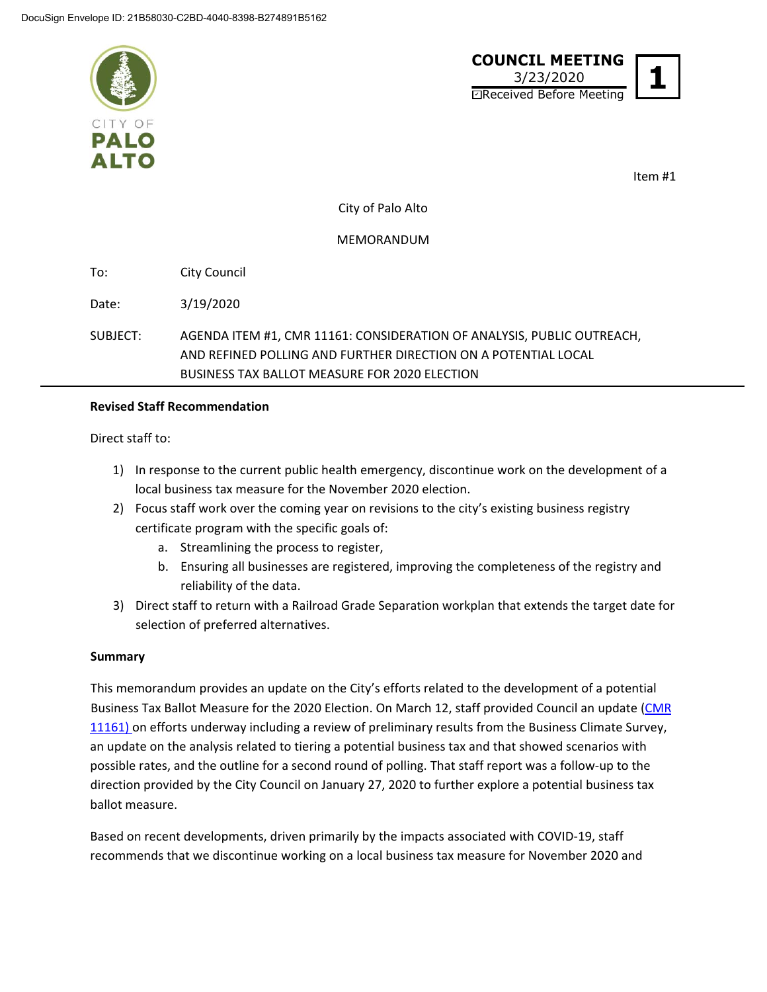



Item #1

City of Palo Alto

MEMORANDUM

To: City Council

Date: 3/19/2020

SUBJECT: AGENDA ITEM #1, CMR 11161: CONSIDERATION OF ANALYSIS, PUBLIC OUTREACH, AND REFINED POLLING AND FURTHER DIRECTION ON A POTENTIAL LOCAL BUSINESS TAX BALLOT MEASURE FOR 2020 ELECTION

## **Revised Staff Recommendation**

Direct staff to:

- 1) In response to the current public health emergency, discontinue work on the development of a local business tax measure for the November 2020 election.
- 2) Focus staff work over the coming year on revisions to the city's existing business registry certificate program with the specific goals of:
	- a. Streamlining the process to register,
	- b. Ensuring all businesses are registered, improving the completeness of the registry and reliability of the data.
- 3) Direct staff to return with a Railroad Grade Separation workplan that extends the target date for selection of preferred alternatives.

## **Summary**

This memorandum provides an update on the City's efforts related to the development of a potential Business Tax Ballot Measure for the 2020 Election. On March 12, staff provided Council an update [\(CMR](https://www.cityofpaloalto.org/civicax/filebank/blobdload.aspx?BlobID=75761) [11161\)](https://www.cityofpaloalto.org/civicax/filebank/blobdload.aspx?BlobID=75761) on efforts underway including a review of preliminary results from the Business Climate Survey, an update on the analysis related to tiering a potential business tax and that showed scenarios with possible rates, and the outline for a second round of polling. That staff report was a follow‐up to the direction provided by the City Council on January 27, 2020 to further explore a potential business tax ballot measure.

Based on recent developments, driven primarily by the impacts associated with COVID‐19, staff recommends that we discontinue working on a local business tax measure for November 2020 and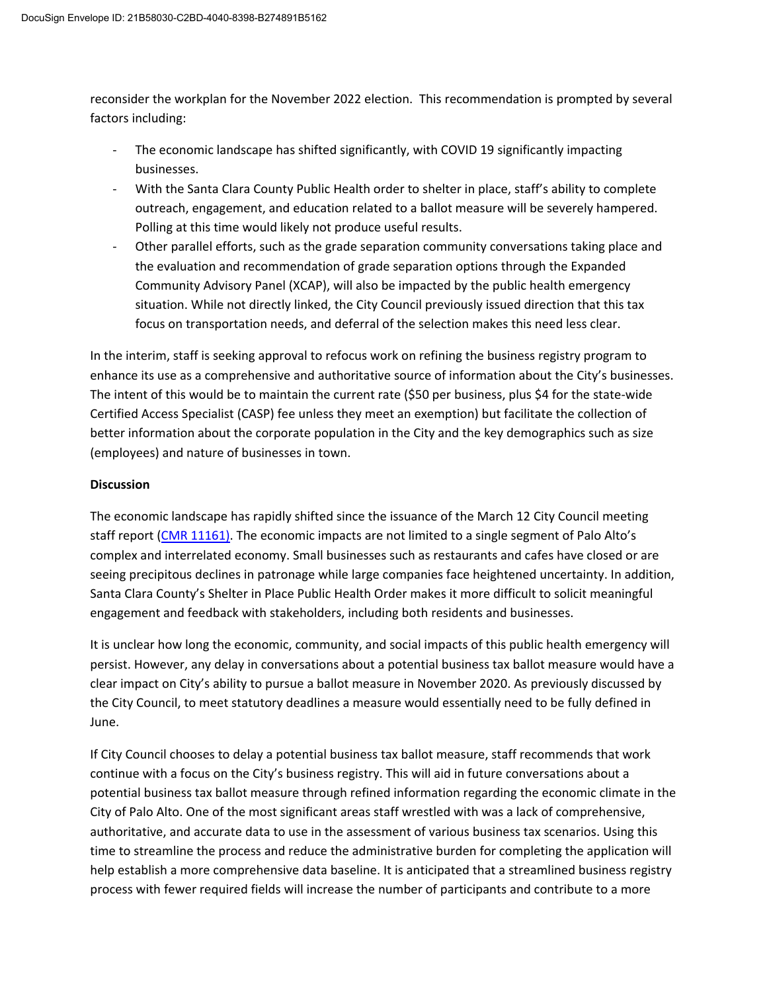reconsider the workplan for the November 2022 election. This recommendation is prompted by several factors including:

- The economic landscape has shifted significantly, with COVID 19 significantly impacting businesses.
- ‐ With the Santa Clara County Public Health order to shelter in place, staff's ability to complete outreach, engagement, and education related to a ballot measure will be severely hampered. Polling at this time would likely not produce useful results.
- ‐ Other parallel efforts, such as the grade separation community conversations taking place and the evaluation and recommendation of grade separation options through the Expanded Community Advisory Panel (XCAP), will also be impacted by the public health emergency situation. While not directly linked, the City Council previously issued direction that this tax focus on transportation needs, and deferral of the selection makes this need less clear.

In the interim, staff is seeking approval to refocus work on refining the business registry program to enhance its use as a comprehensive and authoritative source of information about the City's businesses. The intent of this would be to maintain the current rate (\$50 per business, plus \$4 for the state‐wide Certified Access Specialist (CASP) fee unless they meet an exemption) but facilitate the collection of better information about the corporate population in the City and the key demographics such as size (employees) and nature of businesses in town.

## **Discussion**

The economic landscape has rapidly shifted since the issuance of the March 12 City Council meeting staff report (CMR [11161\).](https://www.cityofpaloalto.org/civicax/filebank/blobdload.aspx?BlobID=75761) The economic impacts are not limited to a single segment of Palo Alto's complex and interrelated economy. Small businesses such as restaurants and cafes have closed or are seeing precipitous declines in patronage while large companies face heightened uncertainty. In addition, Santa Clara County's Shelter in Place Public Health Order makes it more difficult to solicit meaningful engagement and feedback with stakeholders, including both residents and businesses.

It is unclear how long the economic, community, and social impacts of this public health emergency will persist. However, any delay in conversations about a potential business tax ballot measure would have a clear impact on City's ability to pursue a ballot measure in November 2020. As previously discussed by the City Council, to meet statutory deadlines a measure would essentially need to be fully defined in June.

If City Council chooses to delay a potential business tax ballot measure, staff recommends that work continue with a focus on the City's business registry. This will aid in future conversations about a potential business tax ballot measure through refined information regarding the economic climate in the City of Palo Alto. One of the most significant areas staff wrestled with was a lack of comprehensive, authoritative, and accurate data to use in the assessment of various business tax scenarios. Using this time to streamline the process and reduce the administrative burden for completing the application will help establish a more comprehensive data baseline. It is anticipated that a streamlined business registry process with fewer required fields will increase the number of participants and contribute to a more